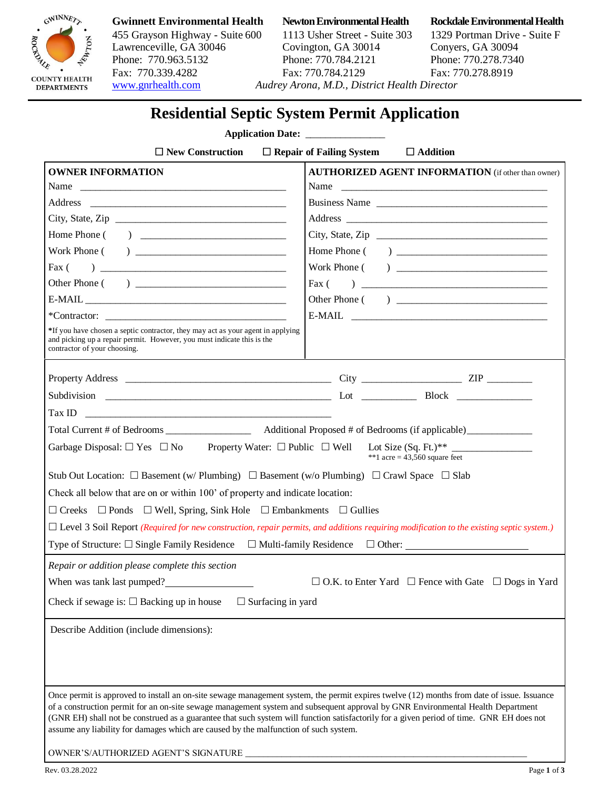

455 Grayson Highway - Suite 600 1113 Usher Street - Suite 303 1329 Portman Drive - Suite F Lawrenceville, GA 30046 Covington, GA 30014 Conyers, GA 30094 Phone: 770.963.5132 Phone: 770.784.2121 Phone: 770.278.7340 Fax: 770.339.4282 Fax: 770.784.2129 Fax: 770.278.8919 [www.gnrhealth.com](http://www.gnrhealth.com/) *Audrey Arona, M.D., District Health Director* 

### **Gwinnett Environmental Health Newton Environmental Health Rockdale Environmental Health**

# **Residential Septic System Permit Application**

### **Application Date:**

| $\Box$ New Construction<br>$\Box$ Repair of Failing System<br>$\Box$ Addition                                                                                                                                                                                                                                                                                                                                                                                                                                     |                                                           |
|-------------------------------------------------------------------------------------------------------------------------------------------------------------------------------------------------------------------------------------------------------------------------------------------------------------------------------------------------------------------------------------------------------------------------------------------------------------------------------------------------------------------|-----------------------------------------------------------|
| <b>OWNER INFORMATION</b>                                                                                                                                                                                                                                                                                                                                                                                                                                                                                          | <b>AUTHORIZED AGENT INFORMATION</b> (if other than owner) |
|                                                                                                                                                                                                                                                                                                                                                                                                                                                                                                                   | Name                                                      |
|                                                                                                                                                                                                                                                                                                                                                                                                                                                                                                                   | Business Name                                             |
| City, State, Zip                                                                                                                                                                                                                                                                                                                                                                                                                                                                                                  |                                                           |
|                                                                                                                                                                                                                                                                                                                                                                                                                                                                                                                   | City, State, Zip                                          |
|                                                                                                                                                                                                                                                                                                                                                                                                                                                                                                                   |                                                           |
|                                                                                                                                                                                                                                                                                                                                                                                                                                                                                                                   |                                                           |
|                                                                                                                                                                                                                                                                                                                                                                                                                                                                                                                   | Fax $($                                                   |
|                                                                                                                                                                                                                                                                                                                                                                                                                                                                                                                   | Other Phone ( )                                           |
| $*Contractor:$                                                                                                                                                                                                                                                                                                                                                                                                                                                                                                    |                                                           |
| *If you have chosen a septic contractor, they may act as your agent in applying<br>and picking up a repair permit. However, you must indicate this is the<br>contractor of your choosing.                                                                                                                                                                                                                                                                                                                         |                                                           |
|                                                                                                                                                                                                                                                                                                                                                                                                                                                                                                                   |                                                           |
|                                                                                                                                                                                                                                                                                                                                                                                                                                                                                                                   |                                                           |
| $\boxed{\text{Tax ID}} \quad \boxed{\qquad \qquad }$                                                                                                                                                                                                                                                                                                                                                                                                                                                              |                                                           |
|                                                                                                                                                                                                                                                                                                                                                                                                                                                                                                                   |                                                           |
| Garbage Disposal: $\Box$ Yes $\Box$ No Property Water: $\Box$ Public $\Box$ Well Lot Size (Sq. Ft.)**<br>**1 acre = $43,560$ square feet                                                                                                                                                                                                                                                                                                                                                                          |                                                           |
| Stub Out Location: $\Box$ Basement (w/ Plumbing) $\Box$ Basement (w/o Plumbing) $\Box$ Crawl Space $\Box$ Slab                                                                                                                                                                                                                                                                                                                                                                                                    |                                                           |
| Check all below that are on or within 100' of property and indicate location:                                                                                                                                                                                                                                                                                                                                                                                                                                     |                                                           |
| $\Box$ Creeks $\Box$ Ponds $\Box$ Well, Spring, Sink Hole $\Box$ Embankments $\Box$ Gullies                                                                                                                                                                                                                                                                                                                                                                                                                       |                                                           |
| $\Box$ Level 3 Soil Report (Required for new construction, repair permits, and additions requiring modification to the existing septic system.)                                                                                                                                                                                                                                                                                                                                                                   |                                                           |
| Type of Structure: □ Single Family Residence □ Multi-family Residence □ Other: ____________________                                                                                                                                                                                                                                                                                                                                                                                                               |                                                           |
|                                                                                                                                                                                                                                                                                                                                                                                                                                                                                                                   |                                                           |
| Repair or addition please complete this section                                                                                                                                                                                                                                                                                                                                                                                                                                                                   |                                                           |
| When was tank last pumped?<br>$\Box$ O.K. to Enter Yard $\Box$ Fence with Gate $\Box$ Dogs in Yard                                                                                                                                                                                                                                                                                                                                                                                                                |                                                           |
| Check if sewage is: $\square$ Backing up in house<br>$\Box$ Surfacing in yard                                                                                                                                                                                                                                                                                                                                                                                                                                     |                                                           |
| Describe Addition (include dimensions):                                                                                                                                                                                                                                                                                                                                                                                                                                                                           |                                                           |
|                                                                                                                                                                                                                                                                                                                                                                                                                                                                                                                   |                                                           |
|                                                                                                                                                                                                                                                                                                                                                                                                                                                                                                                   |                                                           |
|                                                                                                                                                                                                                                                                                                                                                                                                                                                                                                                   |                                                           |
| Once permit is approved to install an on-site sewage management system, the permit expires twelve (12) months from date of issue. Issuance<br>of a construction permit for an on-site sewage management system and subsequent approval by GNR Environmental Health Department<br>(GNR EH) shall not be construed as a guarantee that such system will function satisfactorily for a given period of time. GNR EH does not<br>assume any liability for damages which are caused by the malfunction of such system. |                                                           |

Rev. 03.28.2022 Page **1** of **3**

OWNER'S/AUTHORIZED AGENT'S SIGNATURE  $\overline{\overline{\overline{C}}}$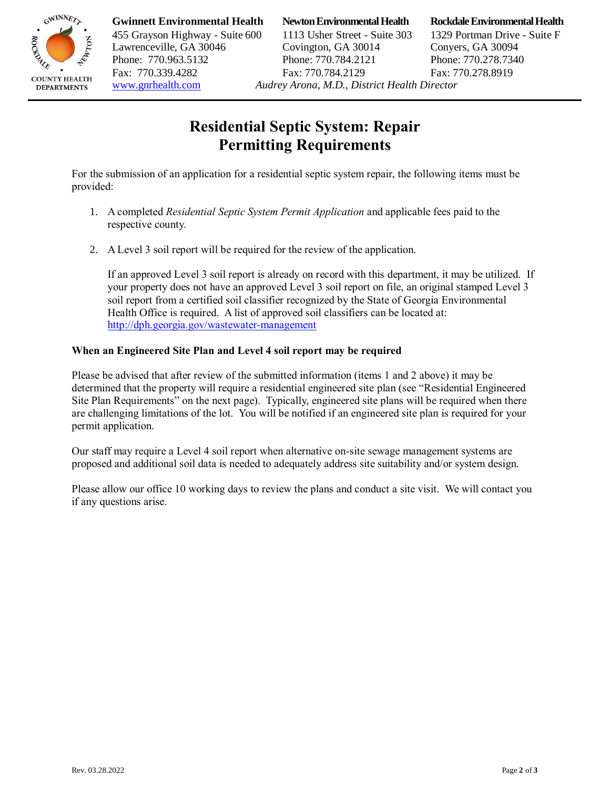

**Gwinnett Environmental Health Newton Environmental Health Rockdale Environmental Health**

455 Grayson Highway - Suite 600 1113 Usher Street - Suite 303 1329 Portman Drive - Suite F Lawrenceville, GA 30046 Covington, GA 30014 Conyers, GA 30094 Phone: 770.963.5132 Phone: 770.784.2121 Phone: 770.278.7340 Fax: 770.339.4282 Fax: 770.784.2129 Fax: 770.278.8919 [www.gnrhealth.com](http://www.gnrhealth.com/) *Audrey Arona, M.D., District Health Director* 

# **Residential Septic System: Repair Permitting Requirements**

For the submission of an application for a residential septic system repair, the following items must be provided:

- 1. A completed *Residential Septic System Permit Application* and applicable fees paid to the respective county.
- 2. A Level 3 soil report will be required for the review of the application.

If an approved Level 3 soil report is already on record with this department, it may be utilized. If your property does not have an approved Level 3 soil report on file, an original stamped Level 3 soil report from a certified soil classifier recognized by the State of Georgia Environmental Health Office is required. A list of approved soil classifiers can be located at: <http://dph.georgia.gov/wastewater-management>

## **When an Engineered Site Plan and Level 4 soil report may be required**

Please be advised that after review of the submitted information (items 1 and 2 above) it may be determined that the property will require a residential engineered site plan (see "Residential Engineered Site Plan Requirements" on the next page). Typically, engineered site plans will be required when there are challenging limitations of the lot. You will be notified if an engineered site plan is required for your permit application.

Our staff may require a Level 4 soil report when alternative on-site sewage management systems are proposed and additional soil data is needed to adequately address site suitability and/or system design.

Please allow our office 10 working days to review the plans and conduct a site visit. We will contact you if any questions arise.